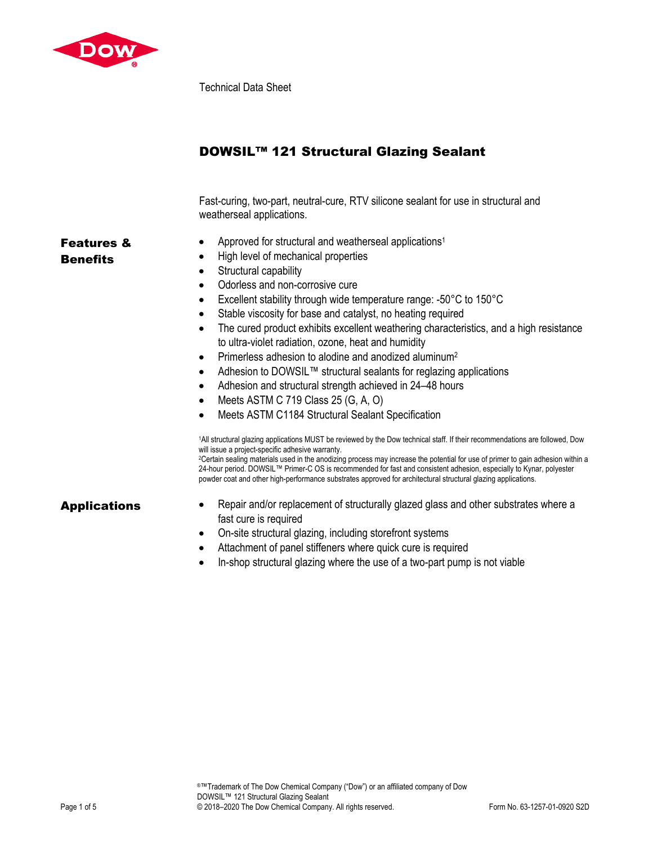

Technical Data Sheet

| DOWSIL™ 121 Structural Glazing Sealant |  |  |  |  |  |
|----------------------------------------|--|--|--|--|--|
|----------------------------------------|--|--|--|--|--|

Fast-curing, two-part, neutral-cure, RTV silicone sealant for use in structural and weatherseal applications.

• Approved for structural and weatherseal applications<sup>1</sup>

# Features & **Benefits**

- High level of mechanical properties • Structural capability
- Odorless and non-corrosive cure
- Excellent stability through wide temperature range: -50°C to 150°C
- Stable viscosity for base and catalyst, no heating required
- The cured product exhibits excellent weathering characteristics, and a high resistance to ultra-violet radiation, ozone, heat and humidity
- Primerless adhesion to alodine and anodized aluminum2
- Adhesion to DOWSIL™ structural sealants for reglazing applications
- Adhesion and structural strength achieved in 24–48 hours
- $\bullet$  Meets ASTM C 719 Class 25 (G, A, O)
- Meets ASTM C1184 Structural Sealant Specification

1All structural glazing applications MUST be reviewed by the Dow technical staff. If their recommendations are followed, Dow will issue a project-specific adhesive warranty.<br><sup>2</sup>Certain sealing materials used in the anodizing process may increase the potential for use of primer to gain adhesion within a 24-hour period. DOWSIL™ Primer-C OS is recommended for fast and consistent adhesion, especially to Kynar, polyester powder coat and other high-performance substrates approved for architectural structural glazing applications.

- Applications Repair and/or replacement of structurally glazed glass and other substrates where a fast cure is required
	- On-site structural glazing, including storefront systems
	- Attachment of panel stiffeners where quick cure is required
	- In-shop structural glazing where the use of a two-part pump is not viable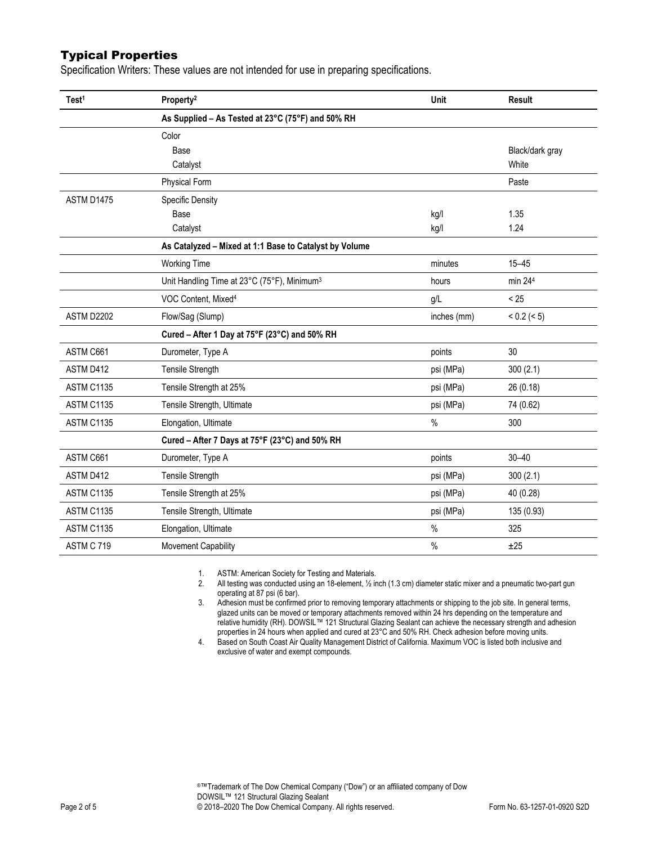# Typical Properties

Specification Writers: These values are not intended for use in preparing specifications.

| Test <sup>1</sup> | Property <sup>2</sup>                                   | Unit        | <b>Result</b>   |
|-------------------|---------------------------------------------------------|-------------|-----------------|
|                   | As Supplied - As Tested at 23°C (75°F) and 50% RH       |             |                 |
|                   | Color                                                   |             |                 |
|                   | Base                                                    |             | Black/dark gray |
|                   | Catalyst                                                |             | White           |
|                   | <b>Physical Form</b>                                    |             | Paste           |
| ASTM D1475        | <b>Specific Density</b>                                 |             |                 |
|                   | Base                                                    | kg/l        | 1.35            |
|                   | Catalyst                                                | kg/l        | 1.24            |
|                   | As Catalyzed - Mixed at 1:1 Base to Catalyst by Volume  |             |                 |
|                   | <b>Working Time</b>                                     | minutes     | $15 - 45$       |
|                   | Unit Handling Time at 23°C (75°F), Minimum <sup>3</sup> | hours       | min 244         |
|                   | VOC Content, Mixed <sup>4</sup>                         | g/L         | < 25            |
| ASTM D2202        | Flow/Sag (Slump)                                        | inches (mm) | < 0.2 (< 5)     |
|                   | Cured - After 1 Day at 75°F (23°C) and 50% RH           |             |                 |
| ASTM C661         | Durometer, Type A                                       | points      | 30              |
| ASTM D412         | Tensile Strength                                        | psi (MPa)   | 300(2.1)        |
| ASTM C1135        | Tensile Strength at 25%                                 | psi (MPa)   | 26 (0.18)       |
| ASTM C1135        | Tensile Strength, Ultimate                              | psi (MPa)   | 74 (0.62)       |
| ASTM C1135        | Elongation, Ultimate                                    | %           | 300             |
|                   | Cured - After 7 Days at 75°F (23°C) and 50% RH          |             |                 |
| ASTM C661         | Durometer, Type A                                       | points      | $30 - 40$       |
| ASTM D412         | Tensile Strength                                        | psi (MPa)   | 300(2.1)        |
| ASTM C1135        | Tensile Strength at 25%                                 | psi (MPa)   | 40 (0.28)       |
| ASTM C1135        | Tensile Strength, Ultimate                              | psi (MPa)   | 135 (0.93)      |
| ASTM C1135        | Elongation, Ultimate                                    | $\%$        | 325             |
| ASTM C 719        | Movement Capability                                     | $\%$        | ±25             |

1. ASTM: American Society for Testing and Materials.

2. All testing was conducted using an 18-element, ½ inch (1.3 cm) diameter static mixer and a pneumatic two-part gun operating at 87 psi (6 bar).

3. Adhesion must be confirmed prior to removing temporary attachments or shipping to the job site. In general terms, glazed units can be moved or temporary attachments removed within 24 hrs depending on the temperature and relative humidity (RH). DOWSIL™ 121 Structural Glazing Sealant can achieve the necessary strength and adhesion properties in 24 hours when applied and cured at 23°C and 50% RH. Check adhesion before moving units.

4. Based on South Coast Air Quality Management District of California. Maximum VOC is listed both inclusive and exclusive of water and exempt compounds.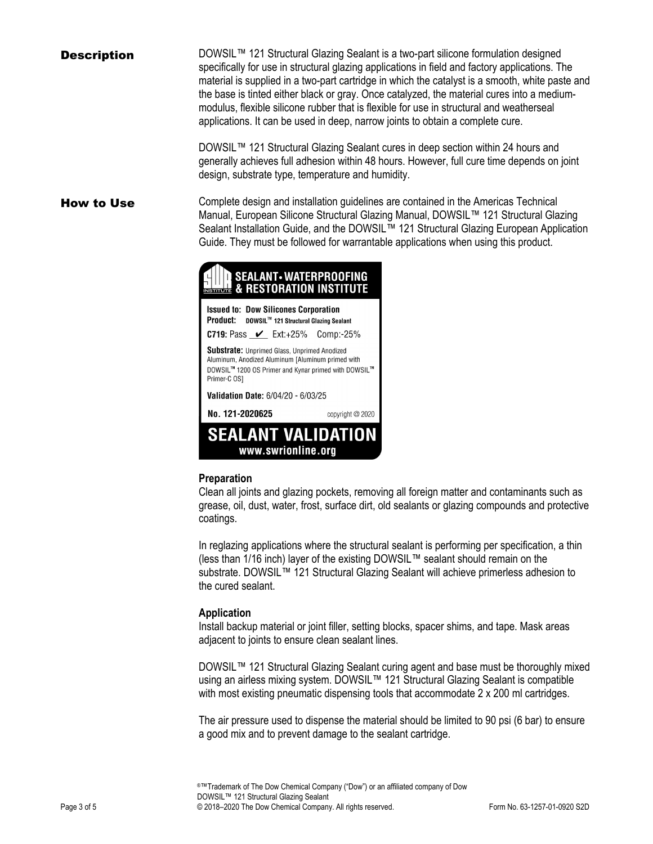**Description** DOWSIL<sup>™</sup> 121 Structural Glazing Sealant is a two-part silicone formulation designed specifically for use in structural glazing applications in field and factory applications. The material is supplied in a two-part cartridge in which the catalyst is a smooth, white paste and the base is tinted either black or gray. Once catalyzed, the material cures into a mediummodulus, flexible silicone rubber that is flexible for use in structural and weatherseal applications. It can be used in deep, narrow joints to obtain a complete cure.

> DOWSIL<sup>™</sup> 121 Structural Glazing Sealant cures in deep section within 24 hours and generally achieves full adhesion within 48 hours. However, full cure time depends on joint design, substrate type, temperature and humidity.

How to Use Complete design and installation guidelines are contained in the Americas Technical Manual, European Silicone Structural Glazing Manual, DOWSIL™ 121 Structural Glazing Sealant Installation Guide, and the DOWSIL™ 121 Structural Glazing European Application Guide. They must be followed for warrantable applications when using this product.



**Issued to: Dow Silicones Corporation** Product: DOWSIL™ 121 Structural Glazing Sealant

**C719:** Pass  $\mathcal{V}$  Ext:+25% Comp:-25%

Substrate: Unprimed Glass, Unprimed Anodized Aluminum, Anodized Aluminum [Aluminum primed with DOWSIL™ 1200 OS Primer and Kynar primed with DOWSIL™ Primer-C OS1

Validation Date: 6/04/20 - 6/03/25

No. 121-2020625



#### **Preparation**

Clean all joints and glazing pockets, removing all foreign matter and contaminants such as grease, oil, dust, water, frost, surface dirt, old sealants or glazing compounds and protective coatings.

copyright @ 2020

In reglazing applications where the structural sealant is performing per specification, a thin (less than 1/16 inch) layer of the existing DOWSIL™ sealant should remain on the substrate. DOWSIL<sup>™</sup> 121 Structural Glazing Sealant will achieve primerless adhesion to the cured sealant.

### **Application**

Install backup material or joint filler, setting blocks, spacer shims, and tape. Mask areas adjacent to joints to ensure clean sealant lines.

DOWSIL™ 121 Structural Glazing Sealant curing agent and base must be thoroughly mixed using an airless mixing system. DOWSIL™ 121 Structural Glazing Sealant is compatible with most existing pneumatic dispensing tools that accommodate 2 x 200 ml cartridges.

The air pressure used to dispense the material should be limited to 90 psi (6 bar) to ensure a good mix and to prevent damage to the sealant cartridge.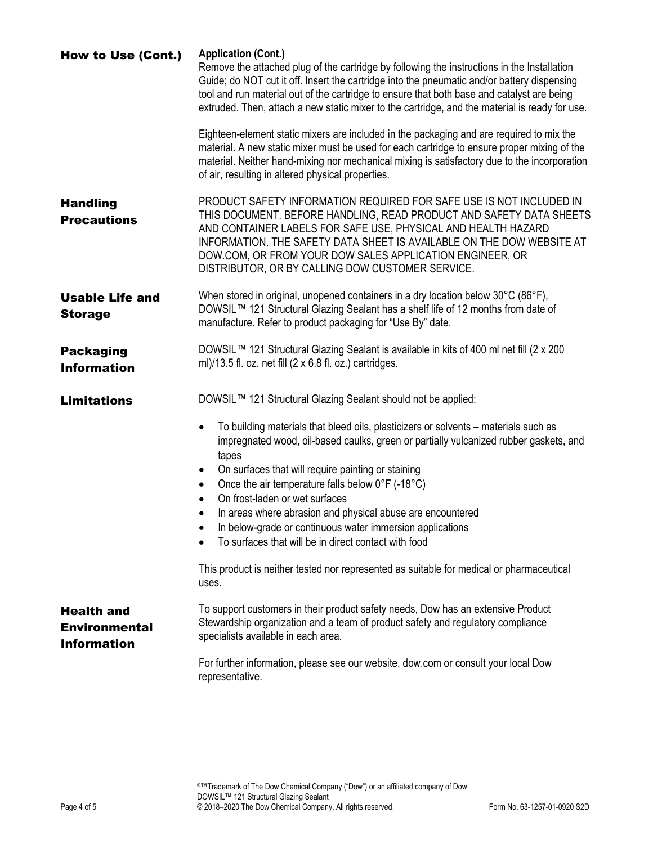| How to Use (Cont.)                                              | <b>Application (Cont.)</b><br>Remove the attached plug of the cartridge by following the instructions in the Installation<br>Guide; do NOT cut it off. Insert the cartridge into the pneumatic and/or battery dispensing<br>tool and run material out of the cartridge to ensure that both base and catalyst are being<br>extruded. Then, attach a new static mixer to the cartridge, and the material is ready for use.<br>Eighteen-element static mixers are included in the packaging and are required to mix the                                                     |
|-----------------------------------------------------------------|--------------------------------------------------------------------------------------------------------------------------------------------------------------------------------------------------------------------------------------------------------------------------------------------------------------------------------------------------------------------------------------------------------------------------------------------------------------------------------------------------------------------------------------------------------------------------|
|                                                                 | material. A new static mixer must be used for each cartridge to ensure proper mixing of the<br>material. Neither hand-mixing nor mechanical mixing is satisfactory due to the incorporation<br>of air, resulting in altered physical properties.                                                                                                                                                                                                                                                                                                                         |
| <b>Handling</b><br><b>Precautions</b>                           | PRODUCT SAFETY INFORMATION REQUIRED FOR SAFE USE IS NOT INCLUDED IN<br>THIS DOCUMENT. BEFORE HANDLING, READ PRODUCT AND SAFETY DATA SHEETS<br>AND CONTAINER LABELS FOR SAFE USE, PHYSICAL AND HEALTH HAZARD<br>INFORMATION. THE SAFETY DATA SHEET IS AVAILABLE ON THE DOW WEBSITE AT<br>DOW.COM, OR FROM YOUR DOW SALES APPLICATION ENGINEER, OR<br>DISTRIBUTOR, OR BY CALLING DOW CUSTOMER SERVICE.                                                                                                                                                                     |
| <b>Usable Life and</b><br><b>Storage</b>                        | When stored in original, unopened containers in a dry location below 30°C (86°F),<br>DOWSIL™ 121 Structural Glazing Sealant has a shelf life of 12 months from date of<br>manufacture. Refer to product packaging for "Use By" date.                                                                                                                                                                                                                                                                                                                                     |
| <b>Packaging</b><br><b>Information</b>                          | DOWSIL™ 121 Structural Glazing Sealant is available in kits of 400 ml net fill (2 x 200<br>ml)/13.5 fl. oz. net fill $(2 \times 6.8$ fl. oz.) cartridges.                                                                                                                                                                                                                                                                                                                                                                                                                |
| <b>Limitations</b>                                              | DOWSIL™ 121 Structural Glazing Sealant should not be applied:                                                                                                                                                                                                                                                                                                                                                                                                                                                                                                            |
|                                                                 | To building materials that bleed oils, plasticizers or solvents - materials such as<br>$\bullet$<br>impregnated wood, oil-based caulks, green or partially vulcanized rubber gaskets, and<br>tapes<br>On surfaces that will require painting or staining<br>Once the air temperature falls below 0°F (-18°C)<br>$\bullet$<br>On frost-laden or wet surfaces<br>$\bullet$<br>In areas where abrasion and physical abuse are encountered<br>$\bullet$<br>In below-grade or continuous water immersion applications<br>To surfaces that will be in direct contact with food |
|                                                                 | This product is neither tested nor represented as suitable for medical or pharmaceutical<br>uses.                                                                                                                                                                                                                                                                                                                                                                                                                                                                        |
| <b>Health and</b><br><b>Environmental</b><br><b>Information</b> | To support customers in their product safety needs, Dow has an extensive Product<br>Stewardship organization and a team of product safety and regulatory compliance<br>specialists available in each area.                                                                                                                                                                                                                                                                                                                                                               |
|                                                                 | For further information, please see our website, dow.com or consult your local Dow<br>representative.                                                                                                                                                                                                                                                                                                                                                                                                                                                                    |